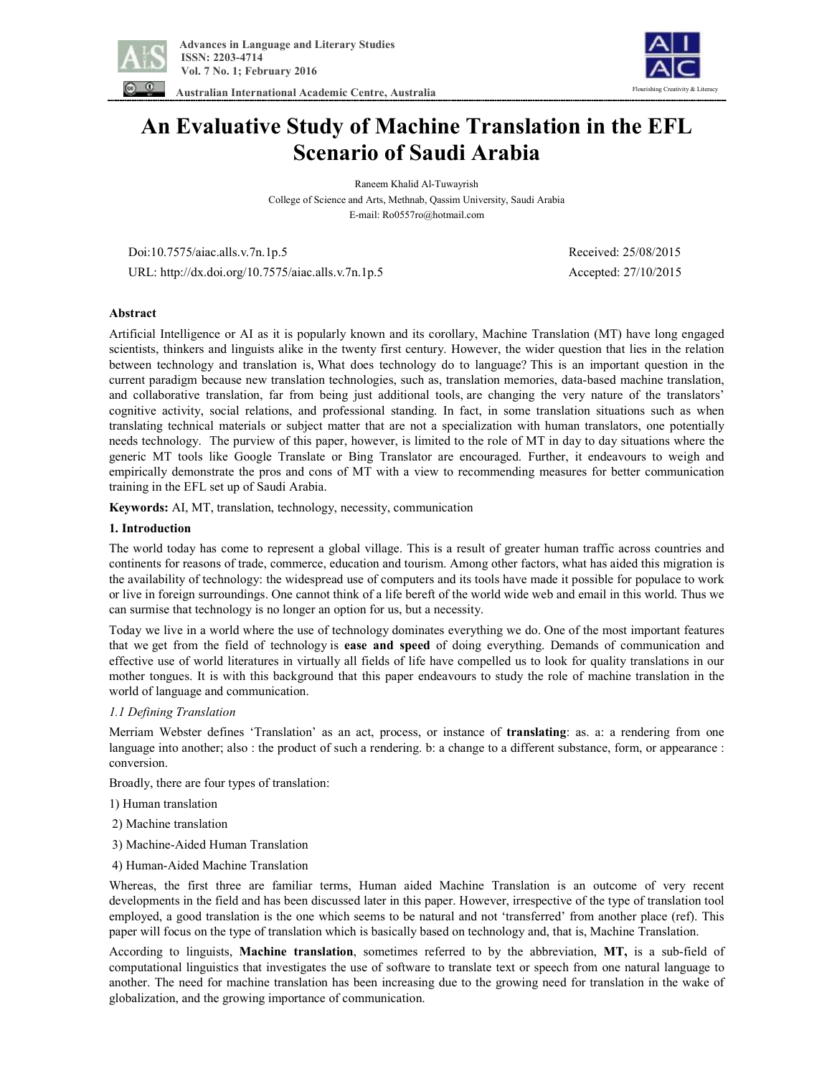



 **Australian International Academic Centre, Australia** 

# **An Evaluative Study of Machine Translation in the EFL Scenario of Saudi Arabia**

Raneem Khalid Al-Tuwayrish College of Science and Arts, Methnab, Qassim University, Saudi Arabia E-mail: Ro0557ro@hotmail.com

Doi:10.7575/aiac.alls.v.7n.1p.5 Received: 25/08/2015

URL: http://dx.doi.org/10.7575/aiac.alls.v.7n.1p.5 Accepted: 27/10/2015

## **Abstract**

Artificial Intelligence or AI as it is popularly known and its corollary, Machine Translation (MT) have long engaged scientists, thinkers and linguists alike in the twenty first century. However, the wider question that lies in the relation between technology and translation is, What does technology do to language? This is an important question in the current paradigm because new translation technologies, such as, translation memories, data-based machine translation, and collaborative translation, far from being just additional tools, are changing the very nature of the translators' cognitive activity, social relations, and professional standing. In fact, in some translation situations such as when translating technical materials or subject matter that are not a specialization with human translators, one potentially needs technology. The purview of this paper, however, is limited to the role of MT in day to day situations where the generic MT tools like Google Translate or Bing Translator are encouraged. Further, it endeavours to weigh and empirically demonstrate the pros and cons of MT with a view to recommending measures for better communication training in the EFL set up of Saudi Arabia.

**Keywords:** AI, MT, translation, technology, necessity, communication

## **1. Introduction**

The world today has come to represent a global village. This is a result of greater human traffic across countries and continents for reasons of trade, commerce, education and tourism. Among other factors, what has aided this migration is the availability of technology: the widespread use of computers and its tools have made it possible for populace to work or live in foreign surroundings. One cannot think of a life bereft of the world wide web and email in this world. Thus we can surmise that technology is no longer an option for us, but a necessity.

Today we live in a world where the use of technology dominates everything we do. One of the most important features that we get from the field of technology is **ease and speed** of doing everything. Demands of communication and effective use of world literatures in virtually all fields of life have compelled us to look for quality translations in our mother tongues. It is with this background that this paper endeavours to study the role of machine translation in the world of language and communication.

## *1.1 Defining Translation*

Merriam Webster defines 'Translation' as an act, process, or instance of **translating**: as. a: a rendering from one language into another; also : the product of such a rendering. b: a change to a different substance, form, or appearance : conversion.

Broadly, there are four types of translation:

1) Human translation

- 2) Machine translation
- 3) Machine-Aided Human Translation
- 4) Human-Aided Machine Translation

Whereas, the first three are familiar terms, Human aided Machine Translation is an outcome of very recent developments in the field and has been discussed later in this paper. However, irrespective of the type of translation tool employed, a good translation is the one which seems to be natural and not 'transferred' from another place (ref). This paper will focus on the type of translation which is basically based on technology and, that is, Machine Translation.

According to linguists, **Machine translation**, sometimes referred to by the abbreviation, **MT,** is a sub-field of computational linguistics that investigates the use of software to translate text or speech from one natural language to another. The need for machine translation has been increasing due to the growing need for translation in the wake of globalization, and the growing importance of communication.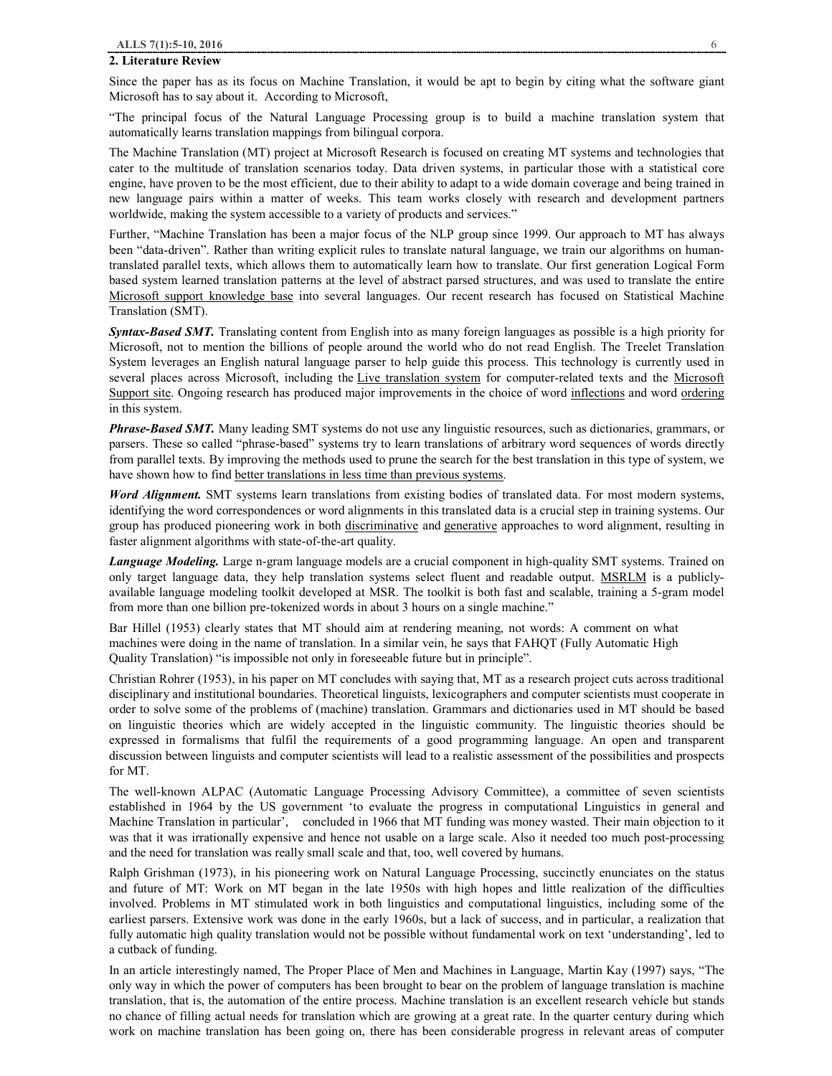#### **2. Literature Review**

Since the paper has as its focus on Machine Translation, it would be apt to begin by citing what the software giant Microsoft has to say about it. According to Microsoft,

"The principal focus of the Natural Language Processing group is to build a machine translation system that automatically learns translation mappings from bilingual corpora.

The Machine Translation (MT) project at Microsoft Research is focused on creating MT systems and technologies that cater to the multitude of translation scenarios today. Data driven systems, in particular those with a statistical core engine, have proven to be the most efficient, due to their ability to adapt to a wide domain coverage and being trained in new language pairs within a matter of weeks. This team works closely with research and development partners worldwide, making the system accessible to a variety of products and services."

Further, "Machine Translation has been a major focus of the NLP group since 1999. Our approach to MT has always been "data-driven". Rather than writing explicit rules to translate natural language, we train our algorithms on humantranslated parallel texts, which allows them to automatically learn how to translate. Our first generation Logical Form based system learned translation patterns at the level of abstract parsed structures, and was used to translate the entire Microsoft support knowledge base into several languages. Our recent research has focused on Statistical Machine Translation (SMT).

*Syntax-Based SMT.* Translating content from English into as many foreign languages as possible is a high priority for Microsoft, not to mention the billions of people around the world who do not read English. The Treelet Translation System leverages an English natural language parser to help guide this process. This technology is currently used in several places across Microsoft, including the Live translation system for computer-related texts and the Microsoft Support site. Ongoing research has produced major improvements in the choice of word inflections and word ordering in this system.

*Phrase-Based SMT.* Many leading SMT systems do not use any linguistic resources, such as dictionaries, grammars, or parsers. These so called "phrase-based" systems try to learn translations of arbitrary word sequences of words directly from parallel texts. By improving the methods used to prune the search for the best translation in this type of system, we have shown how to find better translations in less time than previous systems.

*Word Alignment.* SMT systems learn translations from existing bodies of translated data. For most modern systems, identifying the word correspondences or word alignments in this translated data is a crucial step in training systems. Our group has produced pioneering work in both discriminative and generative approaches to word alignment, resulting in faster alignment algorithms with state-of-the-art quality.

*Language Modeling.* Large n-gram language models are a crucial component in high-quality SMT systems. Trained on only target language data, they help translation systems select fluent and readable output. MSRLM is a publiclyavailable language modeling toolkit developed at MSR. The toolkit is both fast and scalable, training a 5-gram model from more than one billion pre-tokenized words in about 3 hours on a single machine."

Bar Hillel (1953) clearly states that MT should aim at rendering meaning, not words: A comment on what machines were doing in the name of translation. In a similar vein, he says that FAHQT (Fully Automatic High Quality Translation) "is impossible not only in foreseeable future but in principle".

Christian Rohrer (1953), in his paper on MT concludes with saying that, MT as a research project cuts across traditional disciplinary and institutional boundaries. Theoretical linguists, lexicographers and computer scientists must cooperate in order to solve some of the problems of (machine) translation. Grammars and dictionaries used in MT should be based on linguistic theories which are widely accepted in the linguistic community. The linguistic theories should be expressed in formalisms that fulfil the requirements of a good programming language. An open and transparent discussion between linguists and computer scientists will lead to a realistic assessment of the possibilities and prospects for MT.

The well-known ALPAC (Automatic Language Processing Advisory Committee), a committee of seven scientists established in 1964 by the US government 'to evaluate the progress in computational Linguistics in general and Machine Translation in particular', concluded in 1966 that MT funding was money wasted. Their main objection to it was that it was irrationally expensive and hence not usable on a large scale. Also it needed too much post-processing and the need for translation was really small scale and that, too, well covered by humans.

Ralph Grishman (1973), in his pioneering work on Natural Language Processing, succinctly enunciates on the status and future of MT: Work on MT began in the late 1950s with high hopes and little realization of the difficulties involved. Problems in MT stimulated work in both linguistics and computational linguistics, including some of the earliest parsers. Extensive work was done in the early 1960s, but a lack of success, and in particular, a realization that fully automatic high quality translation would not be possible without fundamental work on text 'understanding', led to a cutback of funding.

In an article interestingly named, The Proper Place of Men and Machines in Language, Martin Kay (1997) says, "The only way in which the power of computers has been brought to bear on the problem of language translation is machine translation, that is, the automation of the entire process. Machine translation is an excellent research vehicle but stands no chance of filling actual needs for translation which are growing at a great rate. In the quarter century during which work on machine translation has been going on, there has been considerable progress in relevant areas of computer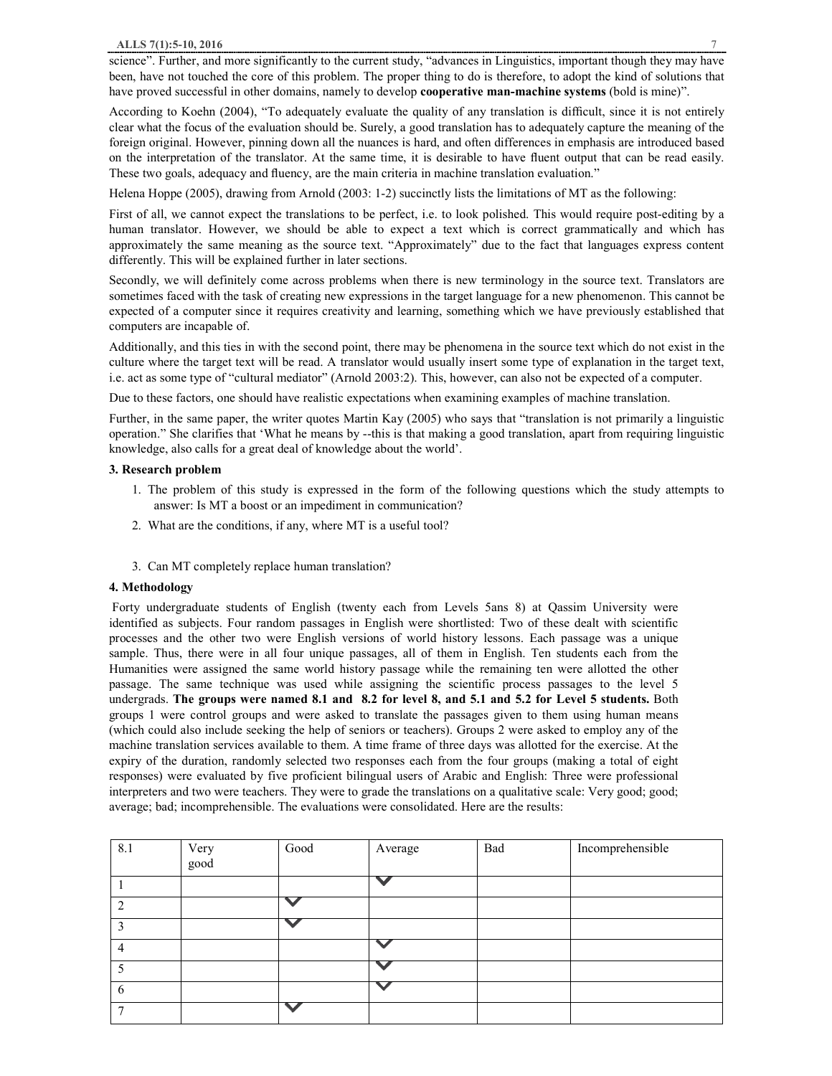science". Further, and more significantly to the current study, "advances in Linguistics, important though they may have been, have not touched the core of this problem. The proper thing to do is therefore, to adopt the kind of solutions that have proved successful in other domains, namely to develop **cooperative man-machine systems** (bold is mine)".

According to Koehn (2004), "To adequately evaluate the quality of any translation is difficult, since it is not entirely clear what the focus of the evaluation should be. Surely, a good translation has to adequately capture the meaning of the foreign original. However, pinning down all the nuances is hard, and often differences in emphasis are introduced based on the interpretation of the translator. At the same time, it is desirable to have fluent output that can be read easily. These two goals, adequacy and fluency, are the main criteria in machine translation evaluation."

Helena Hoppe (2005), drawing from Arnold (2003: 1-2) succinctly lists the limitations of MT as the following:

First of all, we cannot expect the translations to be perfect, i.e. to look polished. This would require post-editing by a human translator. However, we should be able to expect a text which is correct grammatically and which has approximately the same meaning as the source text. "Approximately" due to the fact that languages express content differently. This will be explained further in later sections.

Secondly, we will definitely come across problems when there is new terminology in the source text. Translators are sometimes faced with the task of creating new expressions in the target language for a new phenomenon. This cannot be expected of a computer since it requires creativity and learning, something which we have previously established that computers are incapable of.

Additionally, and this ties in with the second point, there may be phenomena in the source text which do not exist in the culture where the target text will be read. A translator would usually insert some type of explanation in the target text, i.e. act as some type of "cultural mediator" (Arnold 2003:2). This, however, can also not be expected of a computer.

Due to these factors, one should have realistic expectations when examining examples of machine translation.

Further, in the same paper, the writer quotes Martin Kay (2005) who says that "translation is not primarily a linguistic operation." She clarifies that 'What he means by --this is that making a good translation, apart from requiring linguistic knowledge, also calls for a great deal of knowledge about the world'.

#### **3. Research problem**

- 1. The problem of this study is expressed in the form of the following questions which the study attempts to answer: Is MT a boost or an impediment in communication?
- 2. What are the conditions, if any, where MT is a useful tool?
- 3. Can MT completely replace human translation?

## **4. Methodology**

Forty undergraduate students of English (twenty each from Levels 5ans 8) at Qassim University were identified as subjects. Four random passages in English were shortlisted: Two of these dealt with scientific processes and the other two were English versions of world history lessons. Each passage was a unique sample. Thus, there were in all four unique passages, all of them in English. Ten students each from the Humanities were assigned the same world history passage while the remaining ten were allotted the other passage. The same technique was used while assigning the scientific process passages to the level 5 undergrads. The groups were named 8.1 and 8.2 for level 8, and 5.1 and 5.2 for Level 5 students. Both groups 1 were control groups and were asked to translate the passages given to them using human means (which could also include seeking the help of seniors or teachers). Groups 2 were asked to employ any of the machine translation services available to them. A time frame of three days was allotted for the exercise. At the expiry of the duration, randomly selected two responses each from the four groups (making a total of eight responses) were evaluated by five proficient bilingual users of Arabic and English: Three were professional interpreters and two were teachers. They were to grade the translations on a qualitative scale: Very good; good; average; bad; incomprehensible. The evaluations were consolidated. Here are the results:

| 8.1 | Very | Good | Average | Bad | Incomprehensible |
|-----|------|------|---------|-----|------------------|
|     | good |      |         |     |                  |
|     |      |      |         |     |                  |
| ∍   |      |      |         |     |                  |
|     |      |      |         |     |                  |
| 4   |      |      |         |     |                  |
|     |      |      |         |     |                  |
| 6   |      |      |         |     |                  |
|     |      |      |         |     |                  |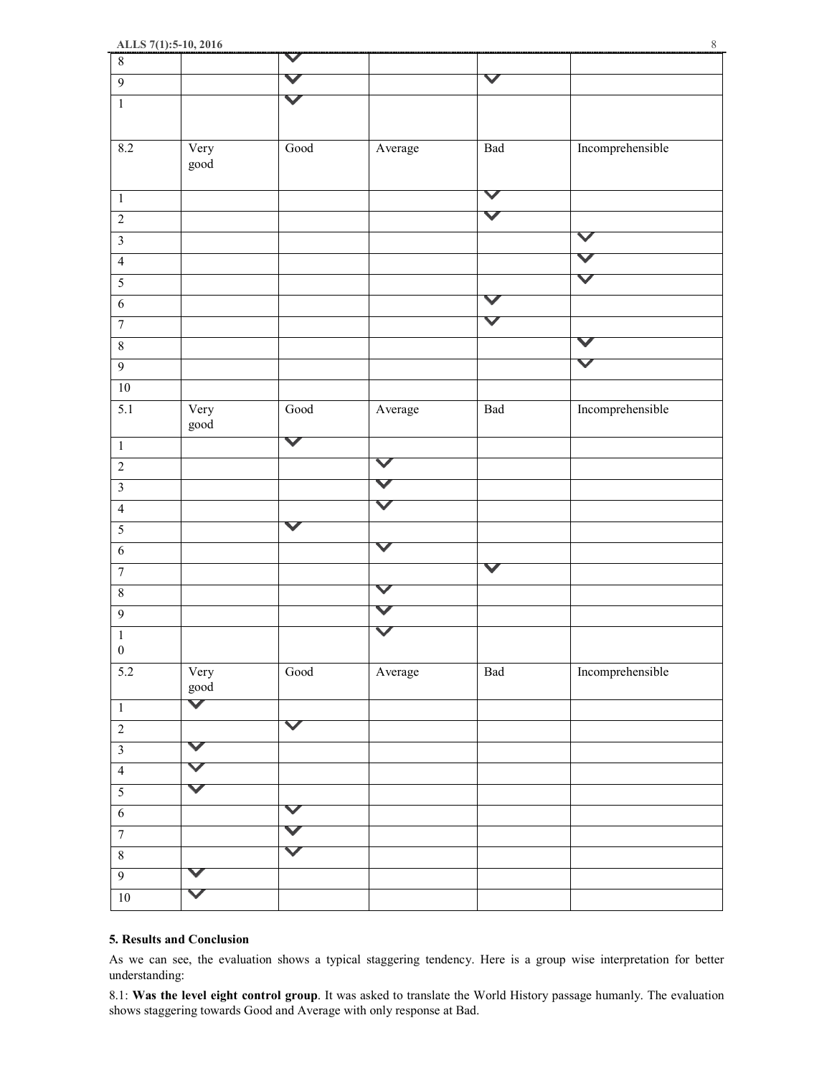| $\,8\,$                 |                       | $\checkmark$          |                      |                      |                      |
|-------------------------|-----------------------|-----------------------|----------------------|----------------------|----------------------|
| $\boldsymbol{9}$        |                       |                       |                      | V                    |                      |
| $\overline{1}$          |                       | V                     |                      |                      |                      |
|                         |                       |                       |                      |                      |                      |
| $\overline{8.2}$        | Very                  | $\operatorname{Good}$ | Average              | Bad                  | Incomprehensible     |
|                         | good                  |                       |                      |                      |                      |
|                         |                       |                       |                      |                      |                      |
| $\,1\,$                 |                       |                       |                      | $\checkmark$         |                      |
| $\sqrt{2}$              |                       |                       |                      | $\blacktriangledown$ |                      |
| $\overline{\mathbf{3}}$ |                       |                       |                      |                      | $\blacktriangledown$ |
| $\overline{4}$          |                       |                       |                      |                      | V                    |
| $\overline{5}$          |                       |                       |                      |                      | $\blacktriangledown$ |
| $\overline{6}$          |                       |                       |                      | V                    |                      |
| $\boldsymbol{7}$        |                       |                       |                      | $\blacktriangledown$ |                      |
|                         |                       |                       |                      |                      | $\checkmark$         |
| $\,8\,$                 |                       |                       |                      |                      | $\blacktriangledown$ |
| $\overline{9}$          |                       |                       |                      |                      |                      |
| $\overline{10}$         |                       |                       |                      |                      |                      |
| $\overline{5.1}$        | Very                  | $\overline{Good}$     | Average              | <b>Bad</b>           | Incomprehensible     |
|                         | good                  |                       |                      |                      |                      |
| $\mathbf 1$             |                       | $\blacktriangledown$  |                      |                      |                      |
| $\overline{2}$          |                       |                       | $\blacktriangledown$ |                      |                      |
| $\overline{\mathbf{3}}$ |                       |                       | V                    |                      |                      |
| $\overline{4}$          |                       |                       | $\blacktriangledown$ |                      |                      |
| $\overline{5}$          |                       | $\blacktriangledown$  |                      |                      |                      |
| $\sqrt{6}$              |                       |                       | $\blacktriangledown$ |                      |                      |
| $\overline{7}$          |                       |                       |                      | V                    |                      |
| $\sqrt{8}$              |                       |                       | V                    |                      |                      |
| $\mathbf{9}$            |                       |                       |                      |                      |                      |
| $\,1\,$                 |                       |                       |                      |                      |                      |
| $\boldsymbol{0}$        |                       |                       |                      |                      |                      |
| 5.2                     | Very                  | $\operatorname{Good}$ | Average              | $\operatorname{Bad}$ | Incomprehensible     |
|                         | $\operatorname{good}$ |                       |                      |                      |                      |
| $\,1\,$                 | $\blacktriangledown$  |                       |                      |                      |                      |
| $\sqrt{2}$              |                       | $\checkmark$          |                      |                      |                      |
| $\overline{\mathbf{3}}$ | V                     |                       |                      |                      |                      |
| $\overline{4}$          | $\blacktriangledown$  |                       |                      |                      |                      |
| $\sqrt{5}$              | V                     |                       |                      |                      |                      |
|                         |                       | $\blacktriangledown$  |                      |                      |                      |
| $\sqrt{6}$              |                       | V                     |                      |                      |                      |
| $\boldsymbol{7}$        |                       |                       |                      |                      |                      |
| $\sqrt{8}$              |                       | $\blacktriangledown$  |                      |                      |                      |
| $\overline{9}$          | V                     |                       |                      |                      |                      |
| $10\,$                  | ✓                     |                       |                      |                      |                      |
|                         |                       |                       |                      |                      |                      |

#### **5. Results and Conclusion**

As we can see, the evaluation shows a typical staggering tendency. Here is a group wise interpretation for better understanding:

8.1: **Was the level eight control group**. It was asked to translate the World History passage humanly. The evaluation shows staggering towards Good and Average with only response at Bad.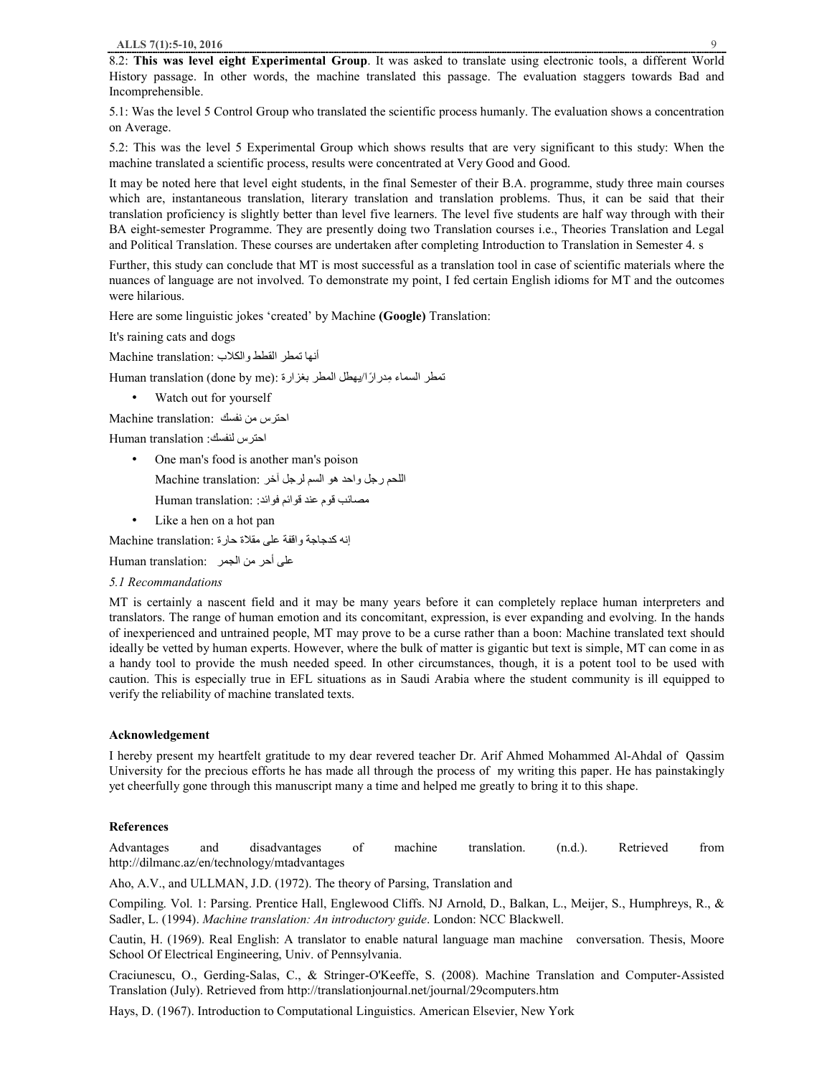8.2: **This was level eight Experimental Group**. It was asked to translate using electronic tools, a different World History passage. In other words, the machine translated this passage. The evaluation staggers towards Bad and Incomprehensible.

5.1: Was the level 5 Control Group who translated the scientific process humanly. The evaluation shows a concentration on Average.

5.2: This was the level 5 Experimental Group which shows results that are very significant to this study: When the machine translated a scientific process, results were concentrated at Very Good and Good.

It may be noted here that level eight students, in the final Semester of their B.A. programme, study three main courses which are, instantaneous translation, literary translation and translation problems. Thus, it can be said that their translation proficiency is slightly better than level five learners. The level five students are half way through with their BA eight-semester Programme. They are presently doing two Translation courses i.e., Theories Translation and Legal and Political Translation. These courses are undertaken after completing Introduction to Translation in Semester 4. s

Further, this study can conclude that MT is most successful as a translation tool in case of scientific materials where the nuances of language are not involved. To demonstrate my point, I fed certain English idioms for MT and the outcomes were hilarious.

Here are some linguistic jokes 'created' by Machine **(Google)** Translation:

It's raining cats and dogs

أنها تمطر القطط والكلاب :Machine translation

تمطر السماء مِدرارًا/يهطل المطر بغزارة :(Human translation (done by me

Watch out for yourself

احترس من نفسك :translation Machine

احترس لنفسك: translation Human

- One man's food is another man's poison اللحم رجل واحد هو السم لرجل آخر :Machine translation مصائب قوم عند قوائم فوائد: :Human translation
- Like a hen on a hot pan

إنھ كدجاجة واقفة على مقلاة حارة :translation Machine

على أحر من الجمر : Human translation

*5.1 Recommandations* 

MT is certainly a nascent field and it may be many years before it can completely replace human interpreters and translators. The range of human emotion and its concomitant, expression, is ever expanding and evolving. In the hands of inexperienced and untrained people, MT may prove to be a curse rather than a boon: Machine translated text should ideally be vetted by human experts. However, where the bulk of matter is gigantic but text is simple, MT can come in as a handy tool to provide the mush needed speed. In other circumstances, though, it is a potent tool to be used with caution. This is especially true in EFL situations as in Saudi Arabia where the student community is ill equipped to verify the reliability of machine translated texts.

#### **Acknowledgement**

I hereby present my heartfelt gratitude to my dear revered teacher Dr. Arif Ahmed Mohammed Al-Ahdal of Qassim University for the precious efforts he has made all through the process of my writing this paper. He has painstakingly yet cheerfully gone through this manuscript many a time and helped me greatly to bring it to this shape.

#### **References**

Advantages and disadvantages of machine translation. (n.d.). Retrieved from http://dilmanc.az/en/technology/mtadvantages

Aho, A.V., and ULLMAN, J.D. (1972). The theory of Parsing, Translation and

Compiling. Vol. 1: Parsing. Prentice Hall, Englewood Cliffs. NJ Arnold, D., Balkan, L., Meijer, S., Humphreys, R., & Sadler, L. (1994). *Machine translation: An introductory guide*. London: NCC Blackwell.

Cautin, H. (1969). Real English: A translator to enable natural language man machine conversation. Thesis, Moore School Of Electrical Engineering, Univ. of Pennsylvania.

Craciunescu, O., Gerding-Salas, C., & Stringer-O'Keeffe, S. (2008). Machine Translation and Computer-Assisted Translation (July). Retrieved from http://translationjournal.net/journal/29computers.htm

Hays, D. (1967). Introduction to Computational Linguistics. American Elsevier, New York